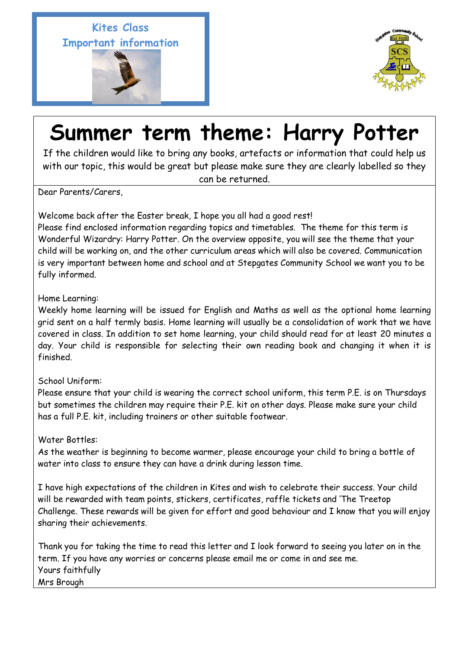**Kites Class Important information** 





## **Summer term theme: Harry Potter**

If the children would like to bring any books, artefacts or information that could help us with our topic, this would be great but please make sure they are clearly labelled so they can be returned.

Dear Parents/Carers,

 $\overline{a}$ 

Welcome back after the Easter break, I hope you all had a good rest!

Please find enclosed information regarding topics and timetables. The theme for this term is Wonderful Wizardry: Harry Potter. On the overview opposite, you will see the theme that your child will be working on, and the other curriculum areas which will also be covered. Communication is very important between home and school and at Stepgates Community School we want you to be fully informed.

## Home Learning:

Weekly home learning will be issued for English and Maths as well as the optional home learning grid sent on a half termly basis. Home learning will usually be a consolidation of work that we have covered in class. In addition to set home learning, your child should read for at least 20 minutes a day. Your child is responsible for selecting their own reading book and changing it when it is finished.

## School Uniform:

Please ensure that your child is wearing the correct school uniform, this term P.E. is on Thursdays but sometimes the children may require their P.E. kit on other days. Please make sure your child has a full P.E. kit, including trainers or other suitable footwear.

## Water Bottles:

As the weather is beginning to become warmer, please encourage your child to bring a bottle of water into class to ensure they can have a drink during lesson time.

I have high expectations of the children in Kites and wish to celebrate their success. Your child will be rewarded with team points, stickers, certificates, raffle tickets and 'The Treetop Challenge. These rewards will be given for effort and good behaviour and I know that you will enjoy sharing their achievements.

Thank you for taking the time to read this letter and I look forward to seeing you later on in the term. If you have any worries or concerns please email me or come in and see me. Yours faithfully Mrs Brough